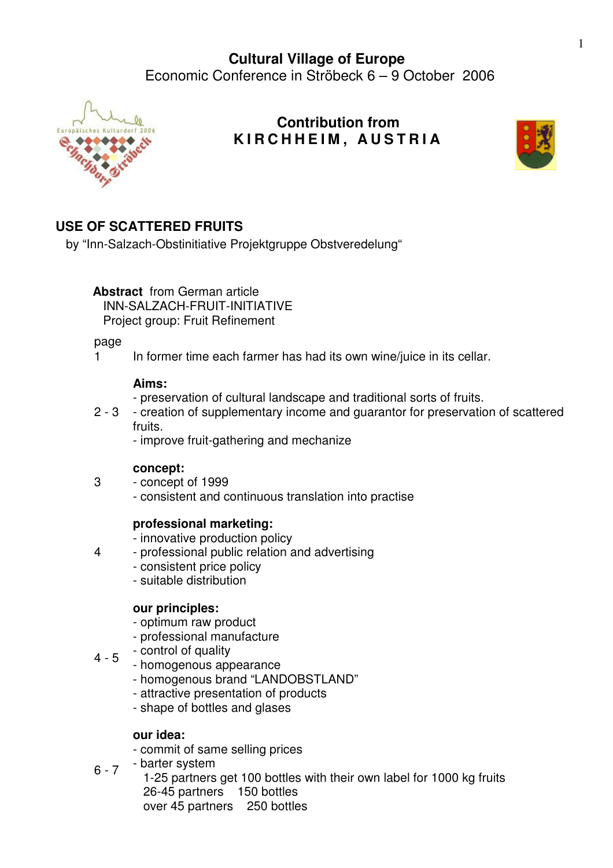

## **Contribution from K I R C H H E I M , A U S T R I A**



# **USE OF SCATTERED FRUITS**

by "Inn-Salzach-Obstinitiative Projektgruppe Obstveredelung"

**Abstract** from German article INN-SALZACH-FRUIT-INITIATIVE

Project group: Fruit Refinement

page

3

4

1 In former time each farmer has had its own wine/juice in its cellar.

## **Aims:**

- preservation of cultural landscape and traditional sorts of fruits.
- 2 3 creation of supplementary income and guarantor for preservation of scattered fruits.
	- improve fruit-gathering and mechanize

## **concept:**

- concept of 1999
	- consistent and continuous translation into practise

## **professional marketing:**

- innovative production policy
- professional public relation and advertising
	- consistent price policy
	- suitable distribution

## **our principles:**

- optimum raw product
- professional manufacture
- 4 5 - control of quality
	- homogenous appearance
	- homogenous brand "LANDOBSTLAND"
	- attractive presentation of products
	- shape of bottles and glases

## **our idea:**

- commit of same selling prices
- $6 7$ - barter system
	- 1-25 partners get 100 bottles with their own label for 1000 kg fruits 26-45 partners 150 bottles over 45 partners 250 bottles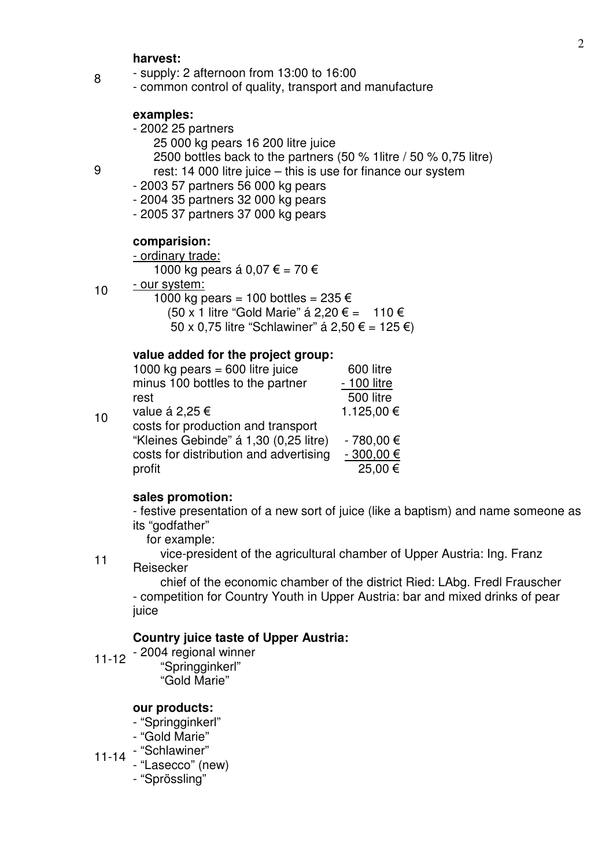#### **harvest:**

- supply: 2 afternoon from 13:00 to 16:00
- common control of quality, transport and manufacture

#### **examples:**

- 2002 25 partners
	- 25 000 kg pears 16 200 litre juice
	- 2500 bottles back to the partners (50 % 1litre / 50 % 0,75 litre)
- rest: 14 000 litre juice this is use for finance our system
- 2003 57 partners 56 000 kg pears
- 2004 35 partners 32 000 kg pears
- 2005 37 partners 37 000 kg pears

#### **comparision:**

### - ordinary trade:

- 1000 kg pears á 0,07 € = 70 €
- our system:
	- 1000 kg pears = 100 bottles =  $235 \in$ (50 x 1 litre "Gold Marie" á 2,20 € = 110 € 50 x 0.75 litre "Schlawiner" á 2.50 € = 125 €)

#### **value added for the project group:**

| 10 | 1000 kg pears = $600$ litre juice      | 600 litre     |
|----|----------------------------------------|---------------|
|    | minus 100 bottles to the partner       | - 100 litre   |
|    | rest                                   | 500 litre     |
|    | value á 2,25 €                         | 1.125,00 €    |
|    | costs for production and transport     |               |
|    | "Kleines Gebinde" á 1,30 (0,25 litre)  | $-780,00 \in$ |
|    | costs for distribution and advertising | $-300,00 \in$ |
|    | profit                                 | 25,00 €       |

#### **sales promotion:**

- festive presentation of a new sort of juice (like a baptism) and name someone as its "godfather"

for example:

 vice-president of the agricultural chamber of Upper Austria: Ing. Franz Reisecker

11

 chief of the economic chamber of the district Ried: LAbg. Fredl Frauscher - competition for Country Youth in Upper Austria: bar and mixed drinks of pear juice

### **Country juice taste of Upper Austria:**

11-12 - 2004 regional winner "Springginkerl" "Gold Marie"

#### **our products:**

- "Springginkerl"
- "Gold Marie"
- 11-14 "Schlawiner"
	- "Lasecco" (new)
		- "Sprössling"

9

8

10